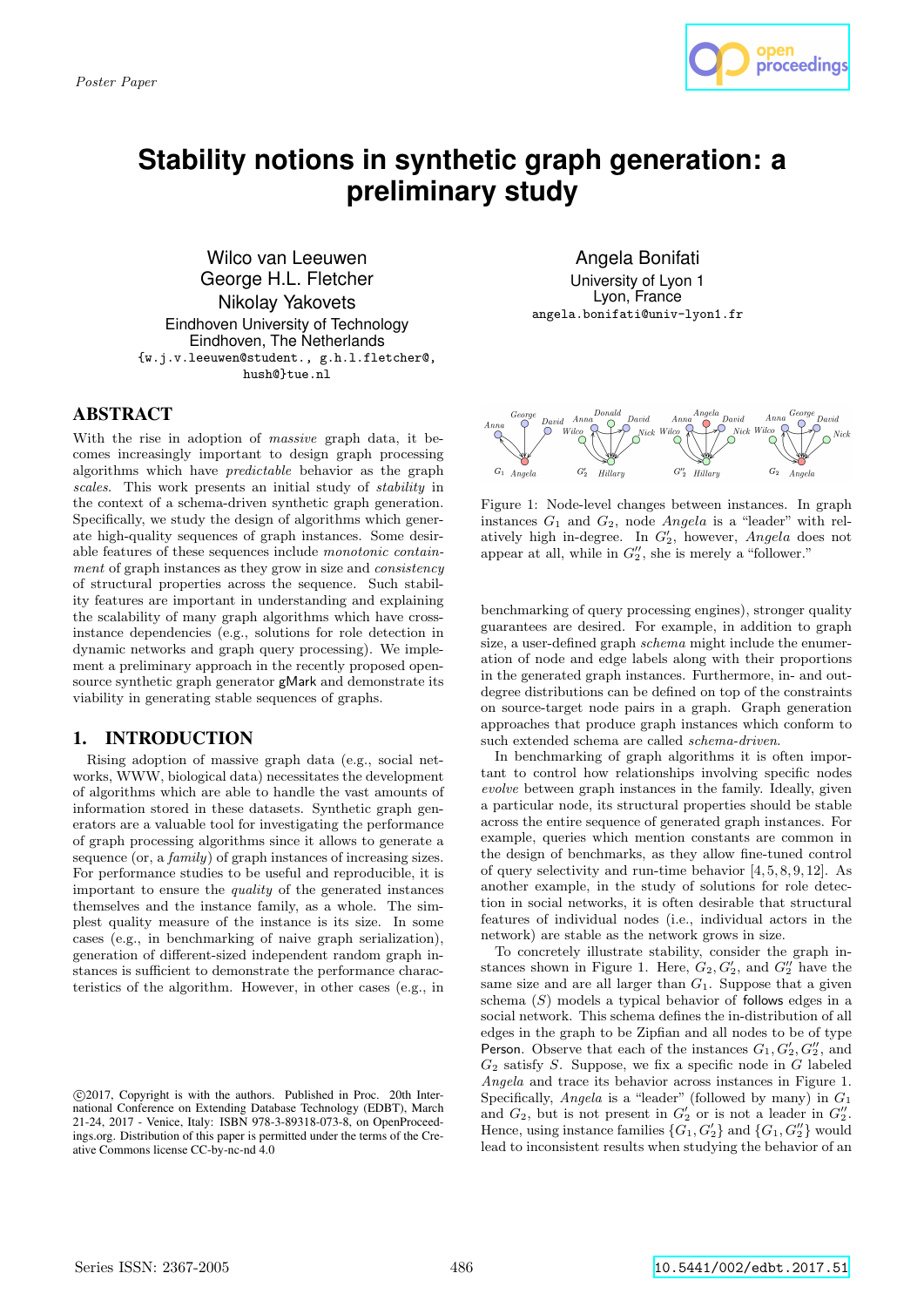

# **Stability notions in synthetic graph generation: a preliminary study**

Wilco van Leeuwen George H.L. Fletcher Nikolay Yakovets Eindhoven University of Technology Eindhoven, The Netherlands {w.j.v.leeuwen@student., g.h.l.fletcher@, hush@}tue.nl

### ABSTRACT

With the rise in adoption of massive graph data, it becomes increasingly important to design graph processing algorithms which have predictable behavior as the graph scales. This work presents an initial study of stability in the context of a schema-driven synthetic graph generation. Specifically, we study the design of algorithms which generate high-quality sequences of graph instances. Some desirable features of these sequences include monotonic containment of graph instances as they grow in size and consistency of structural properties across the sequence. Such stability features are important in understanding and explaining the scalability of many graph algorithms which have crossinstance dependencies (e.g., solutions for role detection in dynamic networks and graph query processing). We implement a preliminary approach in the recently proposed opensource synthetic graph generator gMark and demonstrate its viability in generating stable sequences of graphs.

# 1. INTRODUCTION

Rising adoption of massive graph data (e.g., social networks, WWW, biological data) necessitates the development of algorithms which are able to handle the vast amounts of information stored in these datasets. Synthetic graph generators are a valuable tool for investigating the performance of graph processing algorithms since it allows to generate a sequence (or, a *family*) of graph instances of increasing sizes. For performance studies to be useful and reproducible, it is important to ensure the quality of the generated instances themselves and the instance family, as a whole. The simplest quality measure of the instance is its size. In some cases (e.g., in benchmarking of naive graph serialization), generation of different-sized independent random graph instances is sufficient to demonstrate the performance characteristics of the algorithm. However, in other cases (e.g., in

Angela Bonifati University of Lyon 1 Lyon, France angela.bonifati@univ-lyon1.fr



Figure 1: Node-level changes between instances. In graph instances  $G_1$  and  $G_2$ , node Angela is a "leader" with relatively high in-degree. In  $G_2'$ , however, Angela does not appear at all, while in  $G_2''$ , she is merely a "follower."

benchmarking of query processing engines), stronger quality guarantees are desired. For example, in addition to graph size, a user-defined graph *schema* might include the enumeration of node and edge labels along with their proportions in the generated graph instances. Furthermore, in- and outdegree distributions can be defined on top of the constraints on source-target node pairs in a graph. Graph generation approaches that produce graph instances which conform to such extended schema are called schema-driven.

In benchmarking of graph algorithms it is often important to control how relationships involving specific nodes evolve between graph instances in the family. Ideally, given a particular node, its structural properties should be stable across the entire sequence of generated graph instances. For example, queries which mention constants are common in the design of benchmarks, as they allow fine-tuned control of query selectivity and run-time behavior [4, 5, 8, 9, 12]. As another example, in the study of solutions for role detection in social networks, it is often desirable that structural features of individual nodes (i.e., individual actors in the network) are stable as the network grows in size.

To concretely illustrate stability, consider the graph instances shown in Figure 1. Here,  $G_2, G'_2$ , and  $G''_2$  have the same size and are all larger than  $G_1$ . Suppose that a given schema  $(S)$  models a typical behavior of follows edges in a social network. This schema defines the in-distribution of all edges in the graph to be Zipfian and all nodes to be of type Person. Observe that each of the instances  $G_1, G'_2, G''_2$ , and  $G_2$  satisfy S. Suppose, we fix a specific node in G labeled Angela and trace its behavior across instances in Figure 1. Specifically, *Angela* is a "leader" (followed by many) in  $G_1$ and  $G_2$ , but is not present in  $G'_2$  or is not a leader in  $G''_2$ . Hence, using instance families  $\{G_1, G'_2\}$  and  $\{G_1, G''_2\}$  would lead to inconsistent results when studying the behavior of an

c 2017, Copyright is with the authors. Published in Proc. 20th International Conference on Extending Database Technology (EDBT), March 21-24, 2017 - Venice, Italy: ISBN 978-3-89318-073-8, on OpenProceedings.org. Distribution of this paper is permitted under the terms of the Creative Commons license CC-by-nc-nd 4.0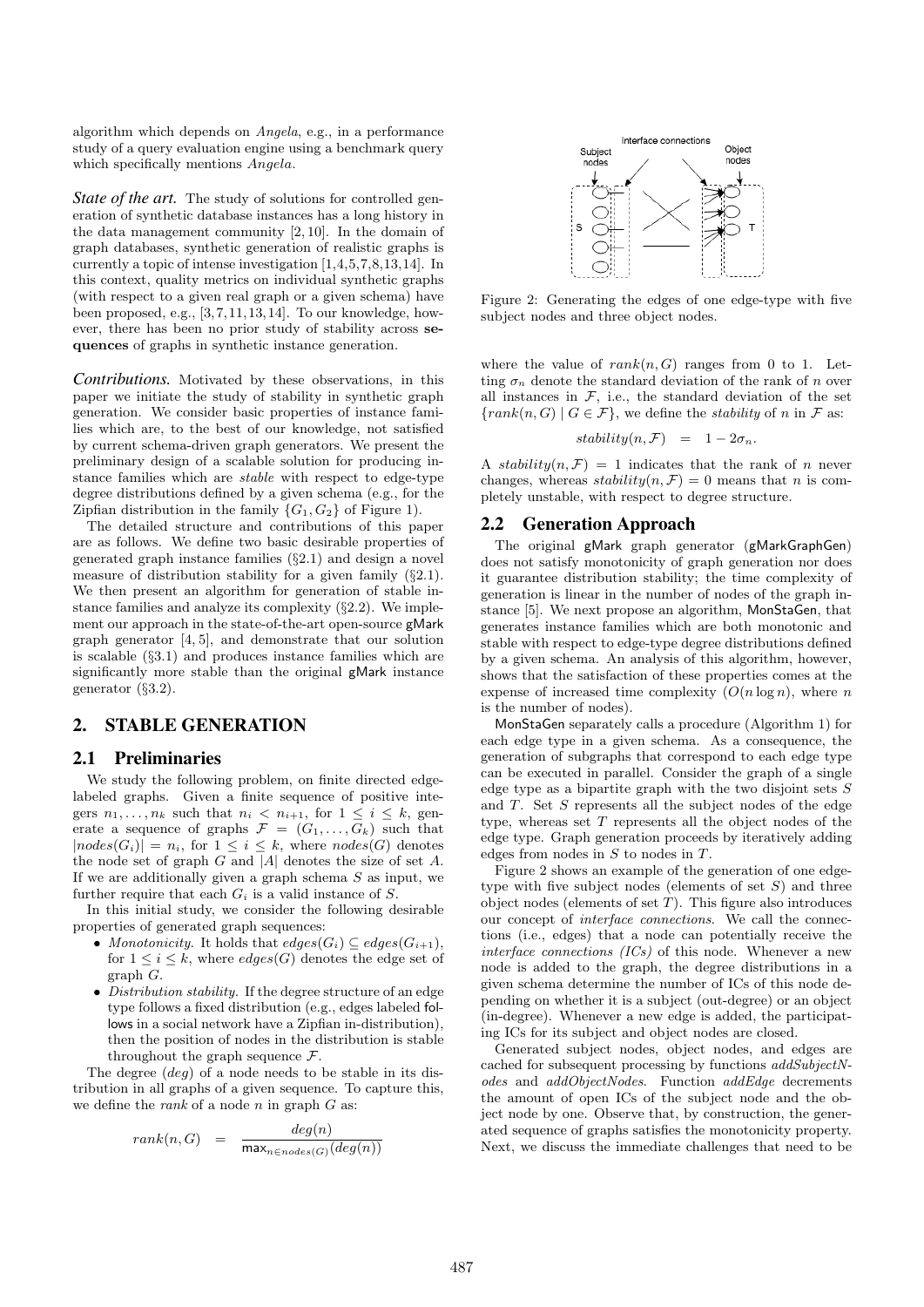algorithm which depends on Angela, e.g., in a performance study of a query evaluation engine using a benchmark query which specifically mentions  $Anqela$ .

*State of the art.* The study of solutions for controlled generation of synthetic database instances has a long history in the data management community [2, 10]. In the domain of graph databases, synthetic generation of realistic graphs is currently a topic of intense investigation [1,4,5,7,8,13,14]. In this context, quality metrics on individual synthetic graphs (with respect to a given real graph or a given schema) have been proposed, e.g., [3,7,11,13,14]. To our knowledge, however, there has been no prior study of stability across sequences of graphs in synthetic instance generation.

*Contributions.* Motivated by these observations, in this paper we initiate the study of stability in synthetic graph generation. We consider basic properties of instance families which are, to the best of our knowledge, not satisfied by current schema-driven graph generators. We present the preliminary design of a scalable solution for producing instance families which are stable with respect to edge-type degree distributions defined by a given schema (e.g., for the Zipfian distribution in the family  $\{G_1, G_2\}$  of Figure 1).

The detailed structure and contributions of this paper are as follows. We define two basic desirable properties of generated graph instance families (§2.1) and design a novel measure of distribution stability for a given family (§2.1). We then present an algorithm for generation of stable instance families and analyze its complexity (§2.2). We implement our approach in the state-of-the-art open-source gMark graph generator [4, 5], and demonstrate that our solution is scalable (§3.1) and produces instance families which are significantly more stable than the original gMark instance generator (§3.2).

## 2. STABLE GENERATION

#### 2.1 Preliminaries

We study the following problem, on finite directed edgelabeled graphs. Given a finite sequence of positive integers  $n_1, \ldots, n_k$  such that  $n_i < n_{i+1}$ , for  $1 \leq i \leq k$ , generate a sequence of graphs  $\mathcal{F} = (G_1, \ldots, G_k)$  such that  $|nodes(G_i)| = n_i$ , for  $1 \leq i \leq k$ , where  $nodes(G)$  denotes the node set of graph  $G$  and  $|A|$  denotes the size of set  $A$ . If we are additionally given a graph schema  $S$  as input, we further require that each  $G_i$  is a valid instance of S.

In this initial study, we consider the following desirable properties of generated graph sequences:

- Monotonicity. It holds that  $edges(G_i) \subseteq edges(G_{i+1}),$ for  $1 \leq i \leq k$ , where  $edges(G)$  denotes the edge set of graph G.
- Distribution stability. If the degree structure of an edge type follows a fixed distribution (e.g., edges labeled follows in a social network have a Zipfian in-distribution), then the position of nodes in the distribution is stable throughout the graph sequence  $\mathcal{F}$ .

The degree (deg) of a node needs to be stable in its distribution in all graphs of a given sequence. To capture this, we define the *rank* of a node *n* in graph  $G$  as:

$$
rank(n, G) = \frac{deg(n)}{\max_{n \in nodes(G)}(deg(n))}
$$



Figure 2: Generating the edges of one edge-type with five subject nodes and three object nodes.

where the value of  $rank(n, G)$  ranges from 0 to 1. Letting  $\sigma_n$  denote the standard deviation of the rank of n over all instances in  $F$ , i.e., the standard deviation of the set  ${rank}(n, G) | G \in \mathcal{F}$ , we define the *stability* of n in  $\mathcal F$  as:

$$
stability(n, \mathcal{F}) = 1 - 2\sigma_n.
$$

A stability $(n, \mathcal{F}) = 1$  indicates that the rank of n never changes, whereas  $stability(n, \mathcal{F}) = 0$  means that n is completely unstable, with respect to degree structure.

#### 2.2 Generation Approach

The original gMark graph generator (gMarkGraphGen) does not satisfy monotonicity of graph generation nor does it guarantee distribution stability; the time complexity of generation is linear in the number of nodes of the graph instance [5]. We next propose an algorithm, MonStaGen, that generates instance families which are both monotonic and stable with respect to edge-type degree distributions defined by a given schema. An analysis of this algorithm, however, shows that the satisfaction of these properties comes at the expense of increased time complexity  $(O(n \log n))$ , where n is the number of nodes).

MonStaGen separately calls a procedure (Algorithm 1) for each edge type in a given schema. As a consequence, the generation of subgraphs that correspond to each edge type can be executed in parallel. Consider the graph of a single edge type as a bipartite graph with the two disjoint sets  $S$ and T. Set S represents all the subject nodes of the edge type, whereas set  $T$  represents all the object nodes of the edge type. Graph generation proceeds by iteratively adding edges from nodes in  $S$  to nodes in  $T$ .

Figure 2 shows an example of the generation of one edgetype with five subject nodes (elements of set  $S$ ) and three object nodes (elements of set  $T$ ). This figure also introduces our concept of interface connections. We call the connections (i.e., edges) that a node can potentially receive the interface connections  $(ICs)$  of this node. Whenever a new node is added to the graph, the degree distributions in a given schema determine the number of ICs of this node depending on whether it is a subject (out-degree) or an object (in-degree). Whenever a new edge is added, the participating ICs for its subject and object nodes are closed.

Generated subject nodes, object nodes, and edges are cached for subsequent processing by functions addSubjectNodes and addObjectNodes. Function addEdge decrements the amount of open ICs of the subject node and the object node by one. Observe that, by construction, the generated sequence of graphs satisfies the monotonicity property. Next, we discuss the immediate challenges that need to be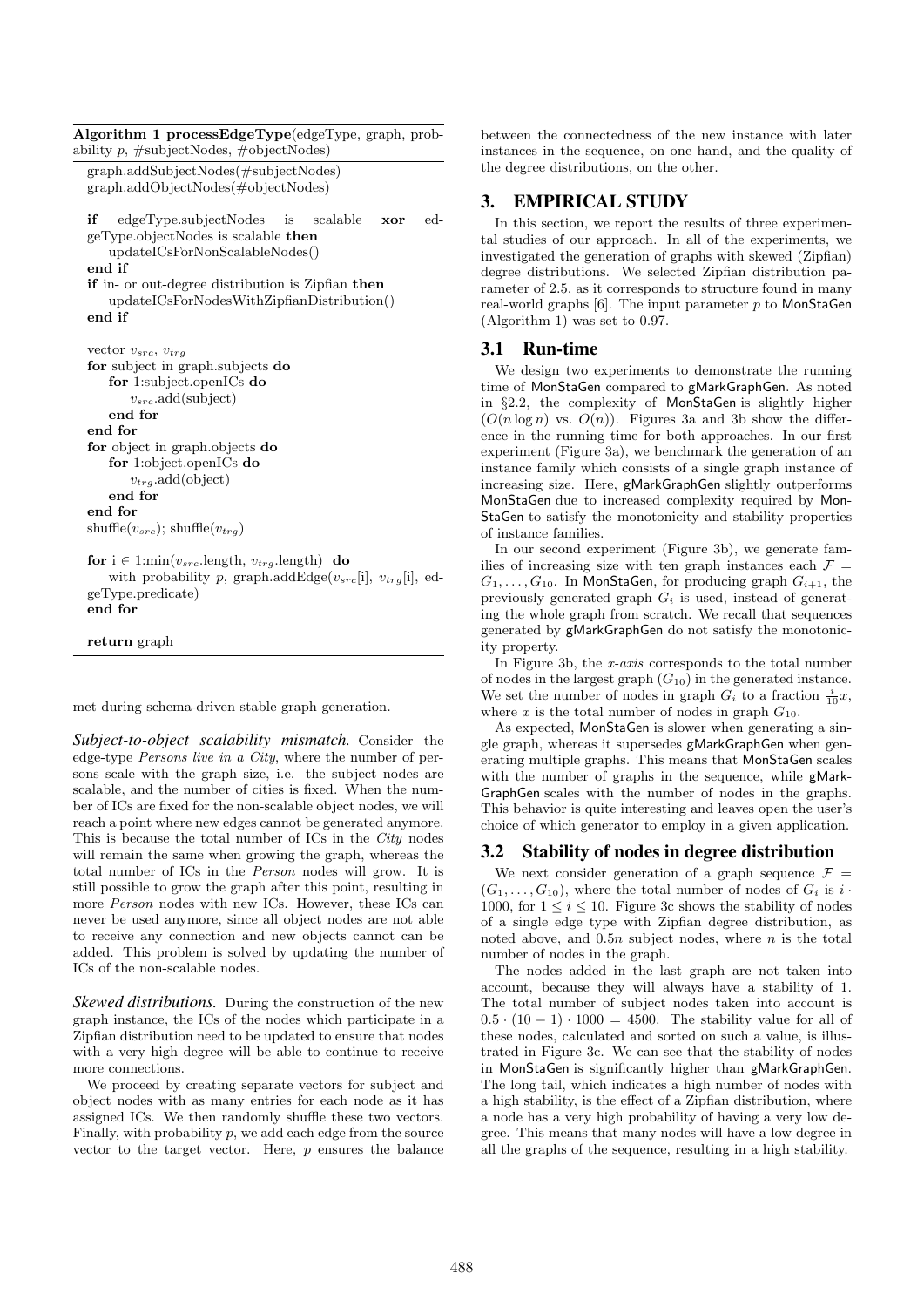```
Algorithm 1 processEdgeType(edgeType, graph, prob-
ability p, #subjectNodes, #objectNodes)
  graph.addSubjectNodes(#subjectNodes)
  graph.addObjectNodes(#objectNodes)
  if edgeType.subjectNodes is scalable xor ed-
  geType.objectNodes is scalable then
     updateICsForNonScalableNodes()
  end if
  if in- or out-degree distribution is Zipfian then
     updateICsForNodesWithZipfianDistribution()
  end if
  vector v_{src}, v_{trg}for subject in graph.subjects do
     for 1:subject.openICs do
        v_{src}.add(subject)
     end for
  end for
  for object in graph.objects do
     for 1:object.openICs do
         v_{trg}.add(object)
     end for
  end for
  shuffle(v_{src}); shuffle(v_{trg})
  for i \in 1:min(v_{src}.length, v_{trg}.length) do
     with probability p, graph.addEdge(v_{src}[i], v_{trq}[i], ed-
  geType.predicate)
  end for
  return graph
```
met during schema-driven stable graph generation.

*Subject-to-object scalability mismatch.* Consider the edge-type Persons live in a City, where the number of persons scale with the graph size, i.e. the subject nodes are scalable, and the number of cities is fixed. When the number of ICs are fixed for the non-scalable object nodes, we will reach a point where new edges cannot be generated anymore. This is because the total number of ICs in the City nodes will remain the same when growing the graph, whereas the total number of ICs in the Person nodes will grow. It is still possible to grow the graph after this point, resulting in more Person nodes with new ICs. However, these ICs can never be used anymore, since all object nodes are not able to receive any connection and new objects cannot can be added. This problem is solved by updating the number of ICs of the non-scalable nodes.

*Skewed distributions.* During the construction of the new graph instance, the ICs of the nodes which participate in a Zipfian distribution need to be updated to ensure that nodes with a very high degree will be able to continue to receive more connections.

We proceed by creating separate vectors for subject and object nodes with as many entries for each node as it has assigned ICs. We then randomly shuffle these two vectors. Finally, with probability  $p$ , we add each edge from the source vector to the target vector. Here,  $p$  ensures the balance between the connectedness of the new instance with later instances in the sequence, on one hand, and the quality of the degree distributions, on the other.

# 3. EMPIRICAL STUDY

In this section, we report the results of three experimental studies of our approach. In all of the experiments, we investigated the generation of graphs with skewed (Zipfian) degree distributions. We selected Zipfian distribution parameter of 2.5, as it corresponds to structure found in many real-world graphs  $[6]$ . The input parameter p to MonStaGen (Algorithm 1) was set to 0.97.

#### 3.1 Run-time

We design two experiments to demonstrate the running time of MonStaGen compared to gMarkGraphGen. As noted in §2.2, the complexity of MonStaGen is slightly higher  $(O(n \log n)$  vs.  $O(n)$ ). Figures 3a and 3b show the difference in the running time for both approaches. In our first experiment (Figure 3a), we benchmark the generation of an instance family which consists of a single graph instance of increasing size. Here, gMarkGraphGen slightly outperforms MonStaGen due to increased complexity required by Mon-StaGen to satisfy the monotonicity and stability properties of instance families.

In our second experiment (Figure 3b), we generate families of increasing size with ten graph instances each  $\mathcal{F} =$  $G_1, \ldots, G_{10}$ . In MonStaGen, for producing graph  $G_{i+1}$ , the previously generated graph  $G_i$  is used, instead of generating the whole graph from scratch. We recall that sequences generated by gMarkGraphGen do not satisfy the monotonicity property.

In Figure 3b, the x-axis corresponds to the total number of nodes in the largest graph  $(G_{10})$  in the generated instance. We set the number of nodes in graph  $G_i$  to a fraction  $\frac{i}{10}x$ , where  $x$  is the total number of nodes in graph  $G_{10}$ .

As expected, MonStaGen is slower when generating a single graph, whereas it supersedes gMarkGraphGen when generating multiple graphs. This means that MonStaGen scales with the number of graphs in the sequence, while gMark-GraphGen scales with the number of nodes in the graphs. This behavior is quite interesting and leaves open the user's choice of which generator to employ in a given application.

#### 3.2 Stability of nodes in degree distribution

We next consider generation of a graph sequence  $\mathcal{F} =$  $(G_1, \ldots, G_{10})$ , where the total number of nodes of  $G_i$  is  $i \cdot$ 1000, for  $1 \leq i \leq 10$ . Figure 3c shows the stability of nodes of a single edge type with Zipfian degree distribution, as noted above, and  $0.5n$  subject nodes, where n is the total number of nodes in the graph.

The nodes added in the last graph are not taken into account, because they will always have a stability of 1. The total number of subject nodes taken into account is  $0.5 \cdot (10 - 1) \cdot 1000 = 4500$ . The stability value for all of these nodes, calculated and sorted on such a value, is illustrated in Figure 3c. We can see that the stability of nodes in MonStaGen is significantly higher than gMarkGraphGen. The long tail, which indicates a high number of nodes with a high stability, is the effect of a Zipfian distribution, where a node has a very high probability of having a very low degree. This means that many nodes will have a low degree in all the graphs of the sequence, resulting in a high stability.